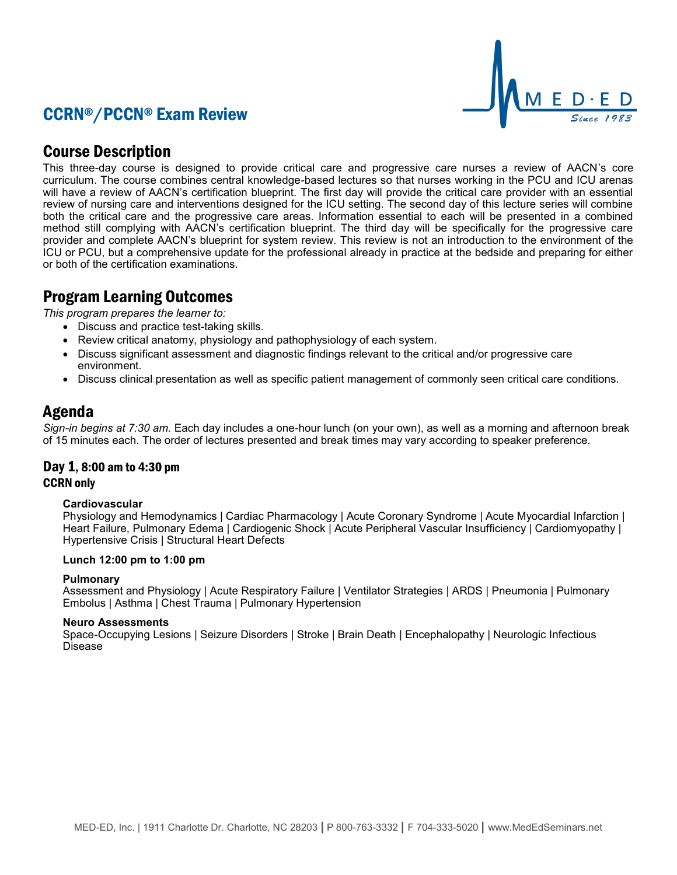# CCRN®/PCCN® Exam Review



## Course Description

This three-day course is designed to provide critical care and progressive care nurses a review of AACN's core curriculum. The course combines central knowledge-based lectures so that nurses working in the PCU and ICU arenas will have a review of AACN's certification blueprint. The first day will provide the critical care provider with an essential review of nursing care and interventions designed for the ICU setting. The second day of this lecture series will combine both the critical care and the progressive care areas. Information essential to each will be presented in a combined method still complying with AACN's certification blueprint. The third day will be specifically for the progressive care provider and complete AACN's blueprint for system review. This review is not an introduction to the environment of the ICU or PCU, but a comprehensive update for the professional already in practice at the bedside and preparing for either or both of the certification examinations.

# Program Learning Outcomes

*This program prepares the learner to:*

- Discuss and practice test-taking skills.
- Review critical anatomy, physiology and pathophysiology of each system.
- Discuss significant assessment and diagnostic findings relevant to the critical and/or progressive care environment.
- Discuss clinical presentation as well as specific patient management of commonly seen critical care conditions.

## Agenda

*Sign-in begins at 7:30 am.* Each day includes a one-hour lunch (on your own), as well as a morning and afternoon break of 15 minutes each. The order of lectures presented and break times may vary according to speaker preference.

# Day 1, 8:00 am to 4:30 pm

### CCRN only

### **Cardiovascular**

Physiology and Hemodynamics | Cardiac Pharmacology | Acute Coronary Syndrome | Acute Myocardial Infarction | Heart Failure, Pulmonary Edema | Cardiogenic Shock | Acute Peripheral Vascular Insufficiency | Cardiomyopathy | Hypertensive Crisis | Structural Heart Defects

### **Lunch 12:00 pm to 1:00 pm**

### **Pulmonary**

Assessment and Physiology | Acute Respiratory Failure | Ventilator Strategies | ARDS | Pneumonia | Pulmonary Embolus | Asthma | Chest Trauma | Pulmonary Hypertension

#### **Neuro Assessments**

Space-Occupying Lesions | Seizure Disorders | Stroke | Brain Death | Encephalopathy | Neurologic Infectious Disease